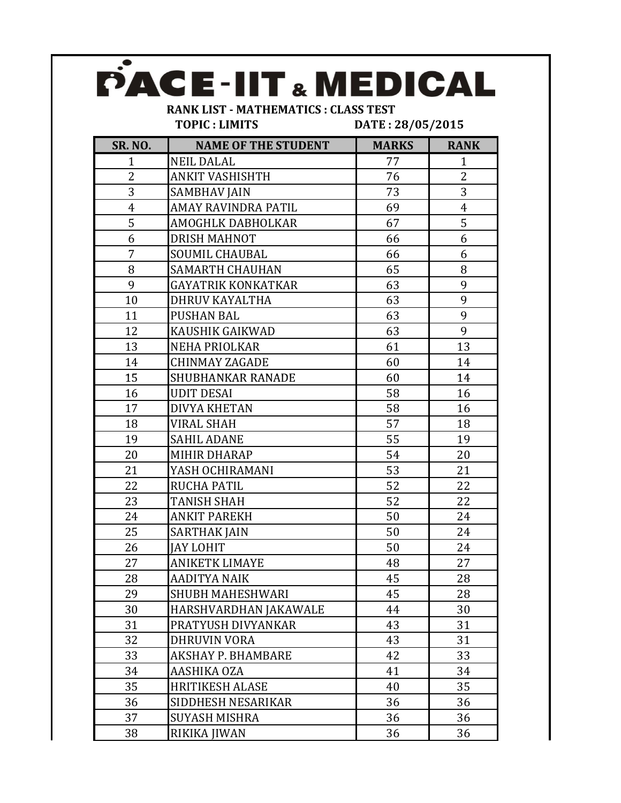|                                            | PACE-IIT & MEDICAL         |                  |                |  |
|--------------------------------------------|----------------------------|------------------|----------------|--|
| <b>RANK LIST - MATHEMATICS: CLASS TEST</b> |                            |                  |                |  |
|                                            | <b>TOPIC: LIMITS</b>       | DATE: 28/05/2015 |                |  |
| <b>SR. NO.</b>                             | <b>NAME OF THE STUDENT</b> | <b>MARKS</b>     | <b>RANK</b>    |  |
| $\mathbf{1}$                               | <b>NEIL DALAL</b>          | 77               | $\mathbf{1}$   |  |
| $\overline{2}$                             | <b>ANKIT VASHISHTH</b>     | 76               | $\overline{2}$ |  |
| 3                                          | SAMBHAV JAIN               | 73               | 3              |  |
| $\overline{4}$                             | AMAY RAVINDRA PATIL        | 69               | $\overline{4}$ |  |
| 5                                          | AMOGHLK DABHOLKAR          | 67               | 5              |  |
| 6                                          | <b>DRISH MAHNOT</b>        | 66               | 6              |  |
| 7                                          | <b>SOUMIL CHAUBAL</b>      | 66               | 6              |  |
| 8                                          | <b>SAMARTH CHAUHAN</b>     | 65               | 8              |  |
| 9                                          | GAYATRIK KONKATKAR         | 63               | 9              |  |
| 10                                         | DHRUV KAYALTHA             | 63               | 9              |  |
| 11                                         | PUSHAN BAL                 | 63               | 9              |  |
| 12                                         | <b>KAUSHIK GAIKWAD</b>     | 63               | 9              |  |
| 13                                         | <b>NEHA PRIOLKAR</b>       | 61               | 13             |  |
| 14                                         | <b>CHINMAY ZAGADE</b>      | 60               | 14             |  |
| 15                                         | <b>SHUBHANKAR RANADE</b>   | 60               | 14             |  |
| 16                                         | <b>UDIT DESAI</b>          | 58               | 16             |  |
| 17                                         | <b>DIVYA KHETAN</b>        | 58               | 16             |  |
| 18                                         | VIRAL SHAH                 | 57               | 18             |  |
| 19                                         | <b>SAHIL ADANE</b>         | 55               | 19             |  |
| 20                                         | <b>MIHIR DHARAP</b>        | 54               | 20             |  |
| 21                                         | YASH OCHIRAMANI            | 53               | 21             |  |
| 22                                         | <b>RUCHA PATIL</b>         | 52               | 22             |  |
| 23                                         | <b>TANISH SHAH</b>         | 52               | 22             |  |
| 24                                         | <b>ANKIT PAREKH</b>        | 50               | 24             |  |
| 25                                         | SARTHAK JAIN               | 50               | 24             |  |
| 26                                         | <b>JAY LOHIT</b>           | 50               | 24             |  |
| 27                                         | ANIKETK LIMAYE             | 48               | 27             |  |
| 28                                         | <b>AADITYA NAIK</b>        | 45               | 28             |  |
| 29                                         | <b>SHUBH MAHESHWARI</b>    | 45               | 28             |  |
| 30                                         | HARSHVARDHAN JAKAWALE      | 44               | 30             |  |
| 31                                         | PRATYUSH DIVYANKAR         | 43               | 31             |  |
| 32                                         | <b>DHRUVIN VORA</b>        | 43               | 31             |  |
| 33                                         | AKSHAY P. BHAMBARE         | 42               | 33             |  |
| 34                                         | AASHIKA OZA                | 41               | 34             |  |
| 35                                         | <b>HRITIKESH ALASE</b>     | 40               | 35             |  |
| 36                                         | SIDDHESH NESARIKAR         | 36               | 36             |  |
| 37                                         | SUYASH MISHRA              | 36               | 36             |  |
| 38                                         | RIKIKA JIWAN               | 36               | 36             |  |
|                                            |                            |                  |                |  |